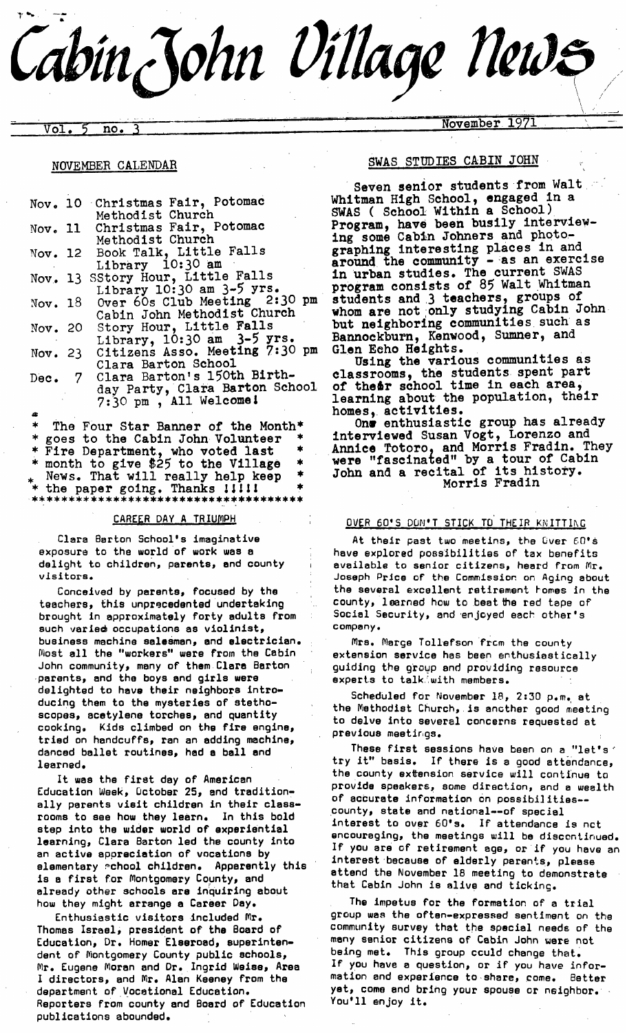# $T''$  -  $T''$ Cabin John *Village News*  $\mathcal{L} = \mathcal{L} \times \mathcal{L}$

....... .. ...... . . .......................... ,r ..... '~ ~-~- November 1971 Vol. 5 no. 3 ....

#### NOVEMBER CALENDAR

|  | Nov. 10 Christmas Fair, Potomac        | Whitman High School, engaged in a   |
|--|----------------------------------------|-------------------------------------|
|  | Methodist Church                       | SWAS ( School Within a School)      |
|  | Nov. 11 Christmas Fair, Potomac        | Program, have been busily interview |
|  | Methodist Church                       | ing some Cabin Johners and photo-   |
|  | Nov. 12 Book Talk, Little Falls        | graphing interesting places in and  |
|  | Library 10:30 am                       | around the community - as an exerci |
|  | Nov. 13 SStory Hour, Little Falls      | in urban studies. The current SWAS  |
|  | Library $10:30$ am $3-5$ yrs.          | program consists of 85 Walt Whitman |
|  | Nov. 18 Over 60s Club Meeting 2:30 pm  | students and 3 teachers, groups of  |
|  | Cabin John Methodist Church            | whom are not only studying Cabin Jo |
|  | Nov. 20 Story Hour, Little Falls       | but neighboring communities such as |
|  | Library, $10:30$ am $3-5$ yrs.         | Bannockburn, Kenwood, Sumner, and   |
|  | Nov. 23 Citizens Asso. Meeting 7:30 pm | Glen Echo Heights.                  |
|  | Clara Barton School                    | Using the various communities as    |
|  | Dec. 7 Clara Barton's 150th Birth-     | classrooms, the students spent part |
|  | day Party, Clara Barton School         | of theor school time in each area,  |
|  | 7:30 pm, All Welcome!                  | learning about the population, thei |
|  |                                        | homes, activities.                  |
|  | The Four Ster Benner of the Month*     | One enthusiastic group has alrea    |

\* The Four Star Banner of the Month\* \* goes to the Cabin John Volunteer \* Fire Department, who voted last month to give \$25 to the Village News. That will really help keep the paper going. Thanks !!!!! \* the paper going. Thanks llil! \* \*\*\*\*\*\*\*\*\*\*\*\*\*\*\*\*\*\*\*\*\*\*\*\*\*\*\*\*\*\*\*\*\*\*\*\*\*\*

#### CAREER DAY A TRIUMPH

Clara Barton School's imaginative exposure to the world of work was a delight to children, parents, and county visitors.

Conceived by parents, focused by the teachers, this unprecedented undertaking brought in approximately forty adults from such varie@ occupations as violinist, business machine salesman, and electrician. Most all the "workers" were from the Cabin John community, many of them Clare Barton parents, end the boys end girls were delighted to have their neighbors introducing them to the mysteries of stethoscopes, acetylene torches, and quantity cooking. Kids climbed on the fire engine, tried on handcuffs, ran an adding machine, danced ballet routines, had a ball and learned.

It was the first day of American Education Week, October 25, and traditionally parents visit children in their classrooms to see how they learn. In this bold step into the wider world of experiential learning, Clara Barton led the county into an active appreciation of vocations by elementary achool children. Apparently this is a first for Montgomery County, and already other schools are inquiring about how they might arrange e Career Day.

Enthusiastic visitors included Mr, Thomas Israel, president of the Board of Education, Dr. Homer Elserosd, superintendent of Montgomery County public schools, Mr. Eugene Moran and Dr. Ingrld Weiss, Area I directors, and Mr. Alan Keeney from the department of Vocational Education. Reporters from county and Board of Education publications abounded.

#### SWAS STUDIES CABIN JOHN

program consists of 85 Walt Whitman Seven senior students from Walt Whitman High School, engaged in a SWAS ( School Within a School) Program, have been busily interviewing some Cabin Johners and photographing interesting places in and<br>around the community - as an exercise around the community - as an exercise in urban studies. The current SWAS whom are not only studying Cabin John but neighboring communities such a Bannockburn, Kenwood, Sumner, and Glen Echo Heights.

Using the various communities as classrooms, the students spent part of the&r school time in each area, learning about the population, their homes, activities.

One enthusiastic group has already interviewed Susan Vogt, Lorenzo and Annice Totoro, and Morris Fradin. They were "fascinated" by a tour of Cabin John and a recital of its history. Morris Fradin

# OVER 60'S DUN'T STICK TO THEIR KNITTING

At their past two meetins, the Over 60's have explored possibilities of tax benefits available to senior citizens, heard from Mr. Joseph Price of the Commission on Aging about the several excellent retirement homes in the county, learned how to beat the red tape of Social Security, and 'enjoyed each other's company.

Mrs. Merge Toll efson from the county extension service has been enthusiastically guiding the group and providing resource experts to talk. with members.

Scheduled for November 18, 2:30 p.m. at the Methodist Church, is another good meeting to delve into several concerns requested at previous meetings.

These first sessions have been on a "let's" try it" basis. If there is a good attendance, the county extension service will continue to provide speakers, some direction, and e wealth of accurate information on possibilities --• county, stets and national--of special interest to over 60's. If attendance is nct encouraging, the meetings will be discontinued. If you are of retirement age, or if you have an interest because of elderly parents, please attend the November 18 meeting to demonstrate that Cabin John is alive and ticking.

The impetus for the formatlon of a trial group was the often-expressed sentiment on the community survey that the special needs of the many senior citizens of Cabin John were not being met. This group cculd change that. If you have e question, or if you have information and experience to share, come. Better yet, come end bring your spouse or neighbor. You'll enjoy it.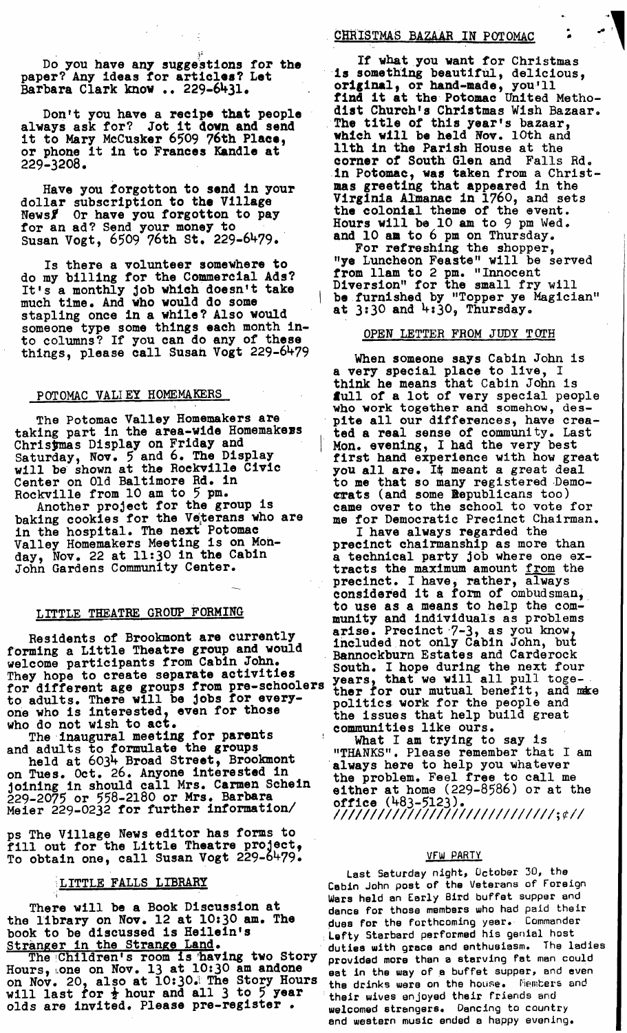Do you have any suggestions for the paper? Any ideas for articles? Let Barbara Clark know .. 229-6431.

Don't you have a recipe that people always ask for? Jot it down and send it to Mary McCusker 6509 76th Place, or phone it in to Frances Kandle at 229-3208.

Have you forgotton to send in your dollar subscription to the Village News】 Or have you forgotton to pay for an ad? Send your money to ... Susan Vogt, 6509 76th St. 229-6479.

Is there a volunteer somewhere to do my billing for the Commercial Ads? It's a monthly Job which doesn't take much time. And who would do some stapling once in a while? Also would someone type some things each month into columns? If you can do any of these things, please call Susan Vogt 229-6479

#### POTOMAC VALLEY HOMEMAKERS

The Potomac Valley Homemakers are taking part in the area-wlde Homemakers Christmas Disply on Friday and Saturday, Nov. 5 and 6. The Display will be shown at the Rockville Civic Center on Old Baltimore Rd. in Rockville from i0 am to 5 pm.

Another project for the group is baking cookies for the Veterans who are in the hospital. The next Potomac Valley Homemakers Meeting is on Monday, Nov. 22 at 11:30 in the Cabin John Gardens Community Center.

#### LITTLE THEATRE GROUP FORMING

Residents of Brookmont are currently forming a Little Theatre group and would Iorming a Little Ineatre group and would.<br>Welcome participants from Cabin John. Bannockburn Estates and Carderock They hope to create separate activities for different age groups from pre-schoolers ther for our mutual benefit, and make<br>to adults. There will be jobs for every-<br>politics work for the people and one who is interested, even for those who do not wish to act.

The inaugural meeting for parents and adults to formulate the groups held at 6034 Broad Street, Brookmont

on Tues. Oct. 26. Anyone interested in Joining in should call Mrs. Carmen Schein 229-2075 or 558-2180 or Mrs. Barbara Meier 229-0232 for further information/

ps The Village News editor has forms to fill out for the Little Theatre  $project,$ To obtain one, call Susan Vogt 229-6479.

# LITTLE FALLS LIBRARY

There will be a Book Discussion at the library on Nov. 12 at 10:30 am. The book to be discussed is Heilein's Stranger in the Stranze Land.

The Children's room is having two Story Hours,~one on Nov. 13 at 10:30 am andone on Nov. 20, also at 10:30;! The Story Hours will last for  $\frac{1}{2}$  hour and all 3 to 5 year olds are invited. Please pre-register.

# CHRISTMAS BAZAAR IN POTOMAC

If what you want for Christmas is something beautiful, delicious, original, or hand-made, you'll find it at the Potomac United Methodist Church's Christmas Wish Bazaar. The title of this year's bazaar, which wall be held Nov. lOth and llth in the Parish House at the corner of South Glen and Falls Rd. in Potomac, was taken from a Christmas greeting that appeared in the Virginia Almanac in 1760, and sets the colonial theme of the event. Hours will be l0 am to 9 pm Wed. and I0 am to 6 pm on Thursday.

For refreshing the shopper, "ye Luncheon Feaste" will be served from llam to 2 pm. "Innocent Diversion" for the small fry will be furnished by "Topper ye Magician" at 3:30 and 4:30, Thursday.

#### OPEN LETTER FROM JUDY T OTH

When someone says Cabin John is a very special place to live, I think he means that Cabin John is full of a lot of very special people who work together and somehow, despite all our differences, have created a real sense of community. Last Mon. evening, I had the very best first hand experience with how great you all are. It meant a great deal to me that so many registered Demo**crats (and some Republicans too)** came over to the school to vote for me for Democratic Precinct Chairman.

I have always regarded the precinct chairmanship as more than a technical party Job where one extracts the maximum amount from the precinct. I have, rather, always considered it a form of ombudsman, to use as a means to help the community and individuals as problems arise. Precinct 7-3, as you know, included not only Cabin John, but South. I hope during the next four benefit, and mare politics work for the people and the issues that help build great communities like ours.

What I am trying to say is "THANKS". Please remember that I am always here to help you whatever the problem. Feel free to call me either at home (229-8586) or at the office (483-5123). *!/I//I/I/I/11/I//I///111/I/I/!;¢/I* 

#### VFW PARTY

Last Saturday night, October 30, the Cabin John post of the Veterans of Foreign Wars held an Early Bird buffet supper and dance for those members who had paid their dues for the forthcoming year. Commander Lofty Sterbard performed his genial host duties with grace and enthusiasm. The ladies provided more than a starving fat men could eat in the way of a buffet supper, and even the drinks ware on the house. Members and their wives enjoyed their friends and welcomed strangers. Dancing to country end western music ended e happy evening.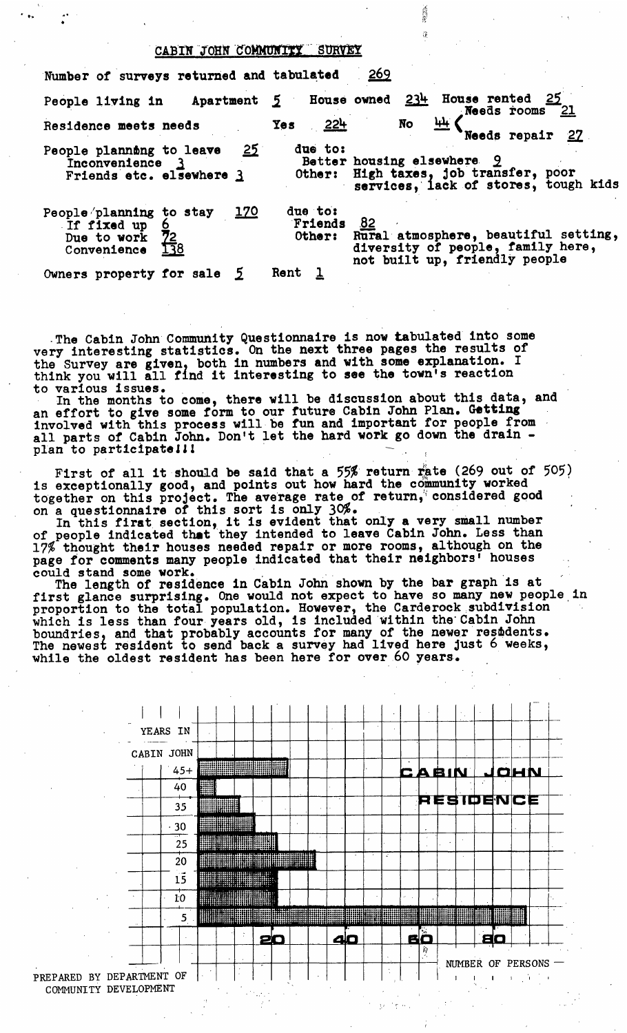# CABIN JOHN COMMUNITY SURVEY

| Number of surveys returned and tabulated                                          |             |                              | <u>269</u>                                                                                                       |
|-----------------------------------------------------------------------------------|-------------|------------------------------|------------------------------------------------------------------------------------------------------------------|
| People living in                                                                  |             |                              | Apartment 5 House owned 234 House rented 25<br>Needs rooms 21                                                    |
| Residence meets needs                                                             |             | <u>224</u><br><b>Yes</b>     | <u>भ्रम</u> ।<br>No<br>Needs repair 27                                                                           |
| People planning to leave<br>Inconvenience 3<br>Friends etc. elsewhere 3           | <u> 25 </u> | due to:<br>Other:            | Better housing elsewhere 9<br>High taxes, job transfer, poor<br>services, lack of stores, tough kids             |
| People planning to stay<br>If fixed up<br>72<br>Due to work<br>138<br>Convenience | <u> 170</u> | due to:<br>Friends<br>Other: | 82<br>Rural atmosphere, beautiful setting,<br>diversity of people, family here,<br>not built up, friendly people |
| Owners property for sale $5$                                                      |             | Rent                         |                                                                                                                  |

The Cabin John Community Questionnaire is now tabulated into some very interesting statistics. On the next three pages the results of the Survey are given, both in numbers and with some explanation. I think you will all find it interesting to see the town's reaction to various issues.

In the months to come, there will be discussion about this data, and an effort to give some form to our future Cabin John Plan. Getting involved with this process will be fun and important for people from all parts of Cabin John. Don't let the hard work go down the drain plan to participatell!

First of all it should be said that a  $55%$  return rate (269 out of  $505)$ is exceptionally good, and points out how hard the community worked together on this project. The average rate of return, considered good on a questionnaire of this sort is only 30%. +

In this firat section, it is evident that only a very small number of people indicated that they intended to leave Cabin John. Less than 17% thought their houses needed repair or more rooms, although on the page for comments many people indicated that their neighbors' houses could stand some work.

The length of residence in cabin John shown by the bar graph is at first glance surprising. One would not expect to have so many new people in proportion to the total population. However, the Carderock subdivision which is less than four years old, is included within the Cabin John boundries, and that probably accounts for many of the newer residents. The newest resident to send back a survey had lived here Just 6 weeks, while the oldest resident has been here for over 60 years.



.''•..,.

PREPARED BY DEPARTMENT OF COMMUNITY DEVELOPMENT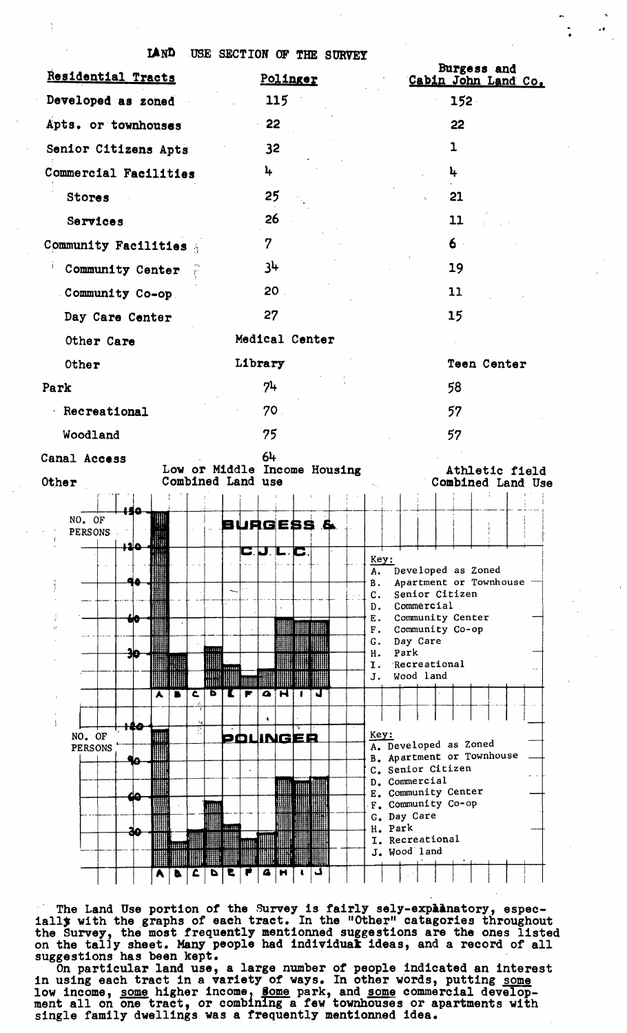

The Land Use portion of the Survey is fairly sely-expaanatory, especially with the graphs of each tract. In the "Other" catagories throughout the Survey, the most frequently mentionned suggestions are the ones listed on the tal]y sheet. Many people had individuaE ideas, and a record of all suggestions has been kept.

On particular land use, a large number of people indicated an interest in using each tract in a variety of ways. In other words, putting <u>some</u> low income, some higher income, some park, and some commercial development all on one tract, or combining a few townhouses or apartments with single family dwellings was a frequently mentionned idea.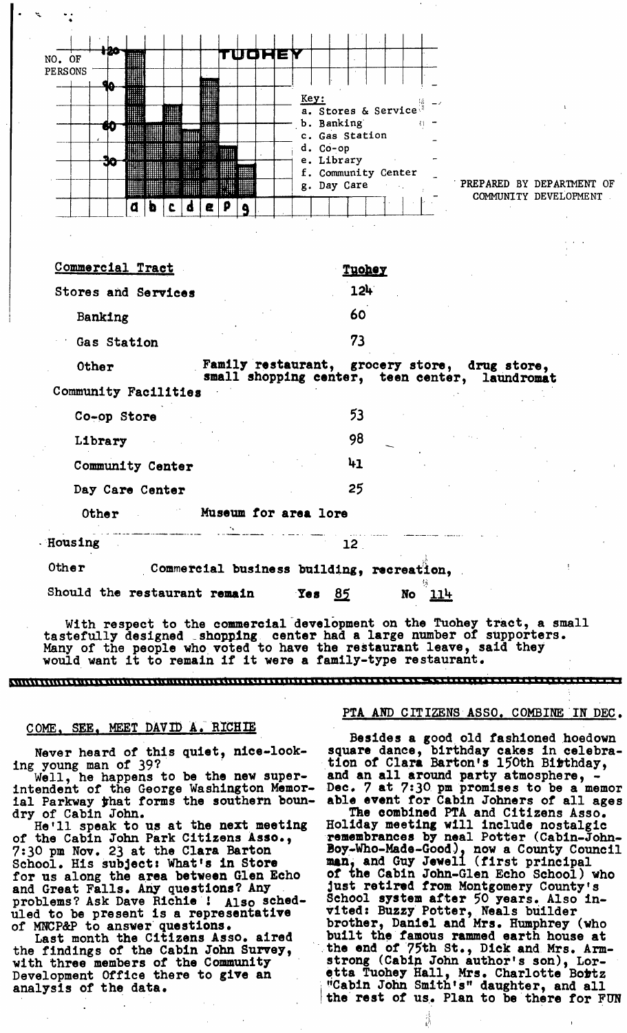| <b>Housing</b>             | 12                                                                                              |
|----------------------------|-------------------------------------------------------------------------------------------------|
| Other                      | Museum for area lore                                                                            |
| Day Care Center            | 25                                                                                              |
| Community Center           | 41                                                                                              |
| Library                    | 98                                                                                              |
| Co-op Store                | 53                                                                                              |
| Community Facilities       |                                                                                                 |
| Other                      | Family restaurant, grocery store, drug store,<br>small shopping center, teen center, laundromat |
| Gas Station                | 73                                                                                              |
| Banking                    | 60                                                                                              |
| <b>Stores and Services</b> | 124                                                                                             |
| Commercial Tract           | <u>Tuohey</u>                                                                                   |
|                            |                                                                                                 |
|                            |                                                                                                 |
| đ<br>Δ                     | PREPARED BY DEPARTMENT OF<br>g. Day Care<br>COMMUNITY DEVELOPMENT<br>e<br>p                     |
|                            | e. Library<br>f. Community Center                                                               |
|                            | c. Gas Station<br>d. Co-op                                                                      |
| 70                         | a. Stores & Service<br>b. Banking<br>打一                                                         |
|                            | Key:                                                                                            |
| <b>PERSONS</b>             |                                                                                                 |
| NO. OF                     | TUOHEY                                                                                          |

With respect to the commercial development on the Tuohey tract, a small tastefully designed shopping center had a large number of supporters. Many of the people who voted to have the restaurant leave, said they would want it to remain if it were a family-type restaurant.

~llll~llllllll lIIII II IIIl~I Ill 1 I~1111111~1 II11 ~I 1I I111 1 I I 1 lI.l I I 11111 II 111 1 I I ~ 11 I ~ \_\_ . 11 1~ . ~ ~ ...... 11 .....

#### **COME, SEE, MEET DAVID A. RICHIE**

Never heard of this quiet, nice-looking young man of 39?

Well, he happens to be the new superintendent of the George Washington Memorial Parkway that forms the southern boundry of Cabin John.

He'll speak to us at the next meeting of the Cabin John Park Citizens Asso., 7:30 pm Nov. 23 at the Clara Barton School. His subject: What's in Store for us along the area between Glen Echo and Great Falls. Any questions? Any problems? Ask Dave Richie! Also scheduled to be present is a representative of MNCP&P to answer questions.

Last month the Citizens Asso. aired the findings of the Cabin John Survey, with three members of the Community Development Office there to give an analysis of the data.

#### PTA AND CITIZENS ASS0. COMBINE IN DEC.

Besides a good old fashioned hoedown square dance, birthday cakes in celebration of Clara Barton's 150th Birthday, and an all around party atmosphere, Dec. 7 at 7:3Opm promises to be a memor able event for Cabin Johners of all ages The combined PTA and Citizens Asso. Holiday meeting will include nostalgic remembrances by neal Potter (Cabin-John-Boy-Who-Made-Good). now a County Council man, and Guy Jewell (first principal of the Cabin John-Glen Echo School) who Just retired from Montgomery County's School system after 50 years. Also invited: Buzzy Potter, Neals builder brother, Daniel and Mrs. Humphrey (who built the famous rammed earth house at the end of 75th St., Dick and Mrs. Armstrong (Cabin John author's son), Loretta Tuohey Hall, Mrs. Charlotte Bortz "Cabin John Smith's" daughter, and all the rest of us. Plan to be there for FUN

诗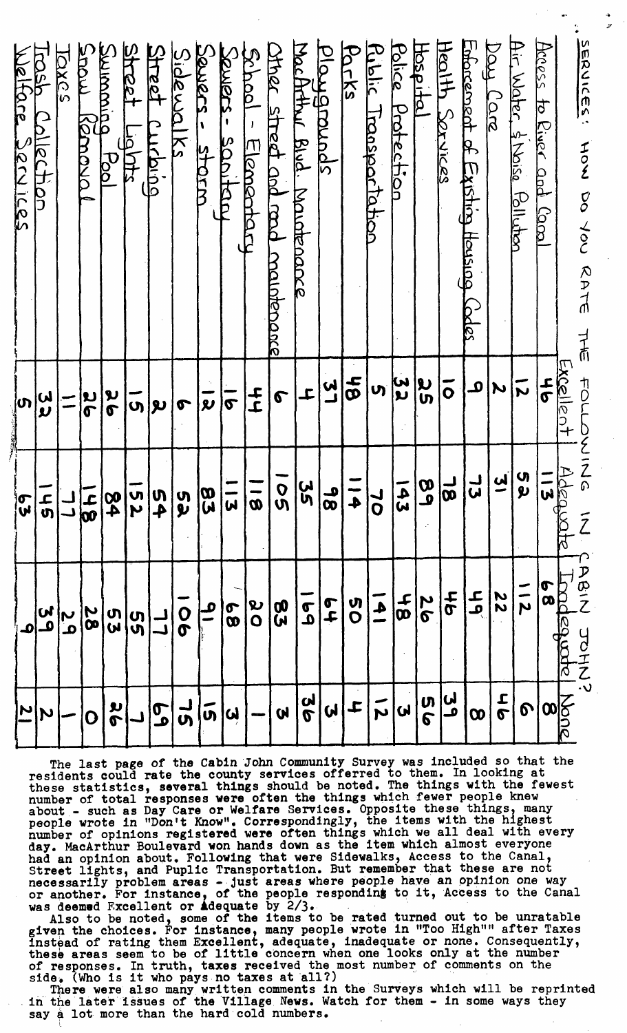| SERNICES!<br>HOW DO YOU<br><b>NATE</b><br>てま | <b>TOLLOVE</b>                | $\overline{Z}_{\Omega}$<br>$\tilde{Z}$ | アのラ<br>コロエ     |                                      |
|----------------------------------------------|-------------------------------|----------------------------------------|----------------|--------------------------------------|
| Access<br>to River and Canal                 | $\frac{1}{2}$<br><del>հ</del> | $\frac{44600}{113}$                    | $\frac{6}{9}$  | $\frac{\text{200}}{\text{8}}$        |
| Air Water, & Noise Pollution                 | $\vec{v}$                     | (၂<br>၅                                | —<br>N         | $\boldsymbol{\delta}$                |
| boy Lare                                     | $\boldsymbol{\mu}$            | <u>ب</u><br>پ                          | 22             | $\frac{1}{2}$                        |
| Enforcement of Existing Housing (odes        | $\mathbf{a}$                  | ل<br>لما                               | ع<br>م         | $\boldsymbol{\infty}$                |
| <u>Health Sarvices</u>                       | $\overline{\overline{o}}$     | $\frac{18}{1}$                         | <b>9t</b>      | لى'<br>ف                             |
| <u>Hospita</u>                               | ပ္တ                           | $\overline{\omega}$<br><u>م</u>        | $\frac{2}{6}$  | <b>თ</b><br>6                        |
| Police Protection                            | ပါ<br>ပ                       | $\tilde{\bm{w}}$                       | ႕<br>00        | $\overline{\mathbf{Q}}^{\mathsf{T}}$ |
| Rublic<br>Iranspartation                     | <b>ဟု</b>                     | $\overline{\mathbf{o}}$                | $\overline{4}$ | ごと                                   |
| <b>POTKS</b>                                 | 9f                            | $\blacklozenge$                        | V)<br>O        | $\downarrow$                         |
| Diaygrands                                   | <u>ب</u><br>پا                | $\overline{\mathbf{\omega}}$           | $\frac{1}{2}$  | $\overline{\mathbf{y}}$              |
| MacAtthul Blud.<br>Maiatenance               | ᆠ                             | 5S<br>R                                | $\frac{1}{6}$  | 2<br>2                               |
| shed street and maintenance                  | $\sigma$                      | $\overline{O}$<br>$\mathbf{\check{v}}$ | 83             | <b>V</b>                             |
| bodal<br>Elementary                          | トー                            | $\boldsymbol{\omega}$                  | $\frac{8}{10}$ |                                      |
| Soulers-<br>Sapitatu                         | $\bar{\sigma}$                | $\overline{\mathbf{u}}$                | 8              | $\overline{\mathbf{u}}$              |
| SOULOCS-<br>Lidra<br>B                       | $\overline{\mathbf{v}}$       | $\mathbf{g}$                           | <u>م</u>       | $\overline{0}$                       |
| Sidewalks                                    | $\boldsymbol{\sigma}$         | უ<br>ჯ                                 | <b>O</b><br>0  | ၂<br>ဟ                               |
| Street<br>Curbing                            | $\vert \mathbf{v} \vert$      | u<br>4                                 |                | 59                                   |
| <b>SHRect</b><br>$\frac{1}{2}$               | —<br>თ                        | n<br>N                                 | <b>տ</b>       |                                      |
| <b>PULLAN WC</b><br>bol                      | ้<br>จ                        | $\frac{1}{\alpha}$                     | (၂<br>(၂       | u<br>P                               |
| LODE<br>Kenoval                              | <b>ပြ</b>                     | <b>구</b><br>00                         | 28             | D                                    |
| DXC2                                         | سے<br>سے                      |                                        | ب<br>م         |                                      |
| DOSP<br>Collection                           | <u>ပ</u> ါ                    | ー<br>の                                 | <u>یں</u><br>م | Ń                                    |
| Welfare Services                             | ကြ                            | $\overline{\mathbf{v}}$                |                | $\overline{\mathbf{M}}$              |

The last page of the Cabin John Community Survey was included so that the  $\,$ residents could rate the county services offerred to them. In looking at these statistics, several things should be noted. The things with the fewest number of total responses were often the things which fewer people knew about - such as Day Care or Welfare Services. Opposite these things, many people wrote in "Don't Know". Correspondingly, the items with the highest number of opinions registered were often things which we all deal with every day. MacArthur Boulevard won hands down as the item which almost everyone had an opinion about. Following that were Sidewalks, Access to the Canal, Street lights, and Puplic Transportation. But remember that these are not necessarily problem areas - just areas where people have an opinion one way or another. For instance, of the people responding to it, Access to the Canal was deemed Excellent or **a**dequate by 2/3.

Also to be noted, some of the items to be rated turned out to be unratable given the choices• For instance, many people wrote in "Too High"" after Taxes instead of rating them Excellent, adequate, inadequate or none. Consequently, these areas seem to be of little concern when one looks only at the number of responses In truth, taxes received the most number of comments on the side. (Who is it who pays no taxes at all?) .....

There were also many wrltten comments in the Surveys which will be reprinted • in the later Issues of the Viliage News. Watch for them - in some ways they say a lot more than the hard cold numbers.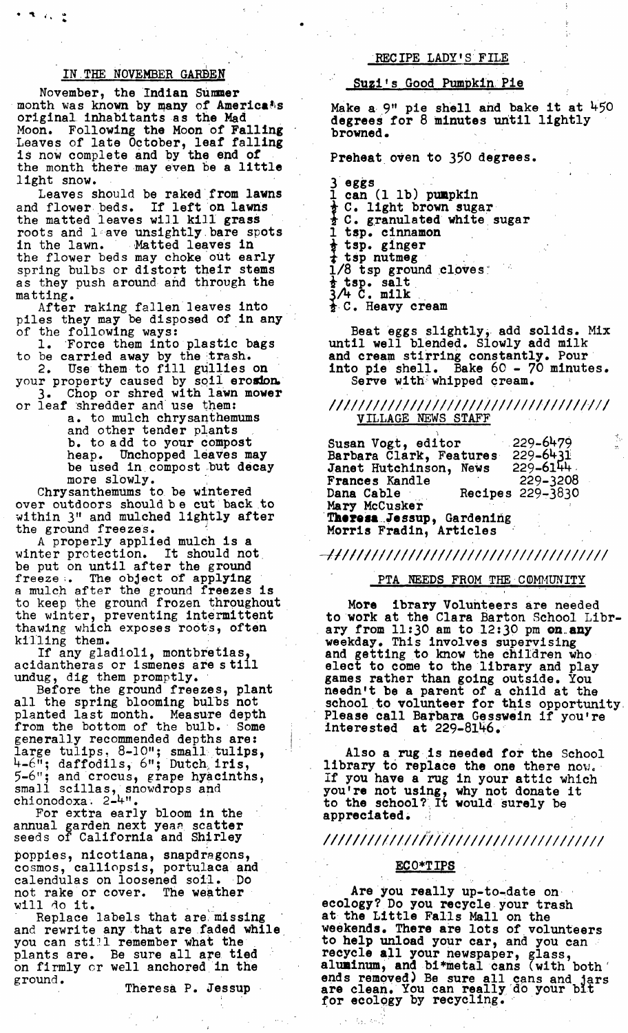#### IN.THE NOVEMBER GARBEN

 $\bullet$ 

November, the Indian Summer month was known by many of Americans original inhabitants as the Mad Moon. Following the Moon of Falling Leaves of late October, leaf falling is now complete and by the end of the month there may even be a little light snow.

Leaves should be raked from lawns and flower beds. If left on lawns the matted leaves will kill grass roots and leave unsightly bare spots in the lawn. Matted leaves in the flower beds may choke out early spring bulbs or distort their stems as they push around and through the matting.

After raking fallen leaves into piles they may be disposed of in any of the following ways:

I. Force them into plastic bags to be **carried away by the trash.** 

2. Use them to fill gullies on your property caused by soil erosion. 3. Chop or shred with lawn mower or leaf shredder and use them:

a. to mulch chrysanthemums and other tender plants b. to add to your compost heap. Unchopped leaves may be used in compost but decay more slowly.

Chrysanthemums to be wintered over outdoors shouldbe cut back to within 3" and mulched lightly after the ground freezes.

A properly applied mulch is a<br>ter protection. It should not winter protection. be put on until after the ground freeze ;. The object of applying a mulch after the ground freezes is to keep the ground frozen throughout the winter, preventing intermittent thawing which exposes roots, often killing them.

If any gladioli, montbretias, acidantheras or ismenes are s till undug, dig them promptly.

Before the ground freezes, plant all the spring blooming bulbs not planted last month. Measure depth from the bottom of the bulb. \* Some generally recommended depths are: large tulips, 8-10"; small tulips, 4-6"; daffodils, 6"; Dutch, iris, 5-6"; and crocus, grape hyacinths, small scillas, snowdrops and chionodoxa. 2-4".

For extra early bloom in the annual garden next yeaa sca**tter** seeds of California and Shirley

poppies, nicotiana, snapdragons, cosmos, calliopsis, portulaca and calendulas on loosened soil. Do not rake or cover. The weather will do it.  $\,$ 

Replace labels *that* are, missing and rewrite any that are faded while you can still remember what the plants are. Be sure all are tied on firmly or well anchored in the g round.

Theresa P. Jessup

# RECIPE LADY'S FILE

#### Suzi's Good Pumpkin Pie

Make a 9" pie shell and bake it at 450 degrees for 8 minutes until lightly browned.

Preheat oven to 350 degrees.

 $3 - e$ ggs 1 can (1 1b) pumpkin **~** C. light brown sugar  $\frac{1}{2}$  C. granulated white sugar I tap. cinnamon tsp. ginger tsp nutmeg  $1/8$  tsp ground cloves: tap. salt ~/4 C. milk •  $\frac{1}{2}$  C. Heavy cream

Beat eggs slightly, add solids. Mix until well blended. Slowly add milk and cream stirring constantly. Pour into pie shell. Bake 60 - 70 minutes. Serve with whipped cream.

*i/i/i/////////i//i///i/////////////i//*  VILLAGE NEWS STAFF

Susan Vogt, editor Barbara Clark, Features Janet Hutchinson, News Frances Kandle  $-229 - 6479$ 229-6431 229-6144. 229-3208 Recipes  $229-3830$ Mary McCusker Theresa Jessup, Gardening Morris Fradin, Articles

*W/1/t/t/1/////////////////////////////* 

# PTA NEEDS FROM THE COMMUNITY

More ibrary Volunteers are needed to work at the Clara Barton School Library from  $11:30$  am to  $12:30$  pm on any weekday. This involves supervising and getting to know the children who elect to come to the library and play games rather than going outside. You needn't be a parent of a child at the school to volunteer for this opportunity. Please call Barbara Gesswein if you're  $interested$  at  $229-8146$ .

Also a rug is needed for the School library to replace the one there  $now.$ if you have a rug in your attic which you're not using, why not donate it to the school? It would surely be appreciated.

# *!11111111111111/1ilt111111111111111111*

### **ECO\*TIPS**

/

Are you really up-to-date on ecology? Do you recycle your trash at the Little Falls Mall on the weekends. There are lots of volunteers to help unload your car, and you can recycle all your newspaper, glass, aluminum, and hi\*metal cans (with both' ends removed) Be sure all cans and jars are clean, You can really'd0 your blt for ecology by recycling. •